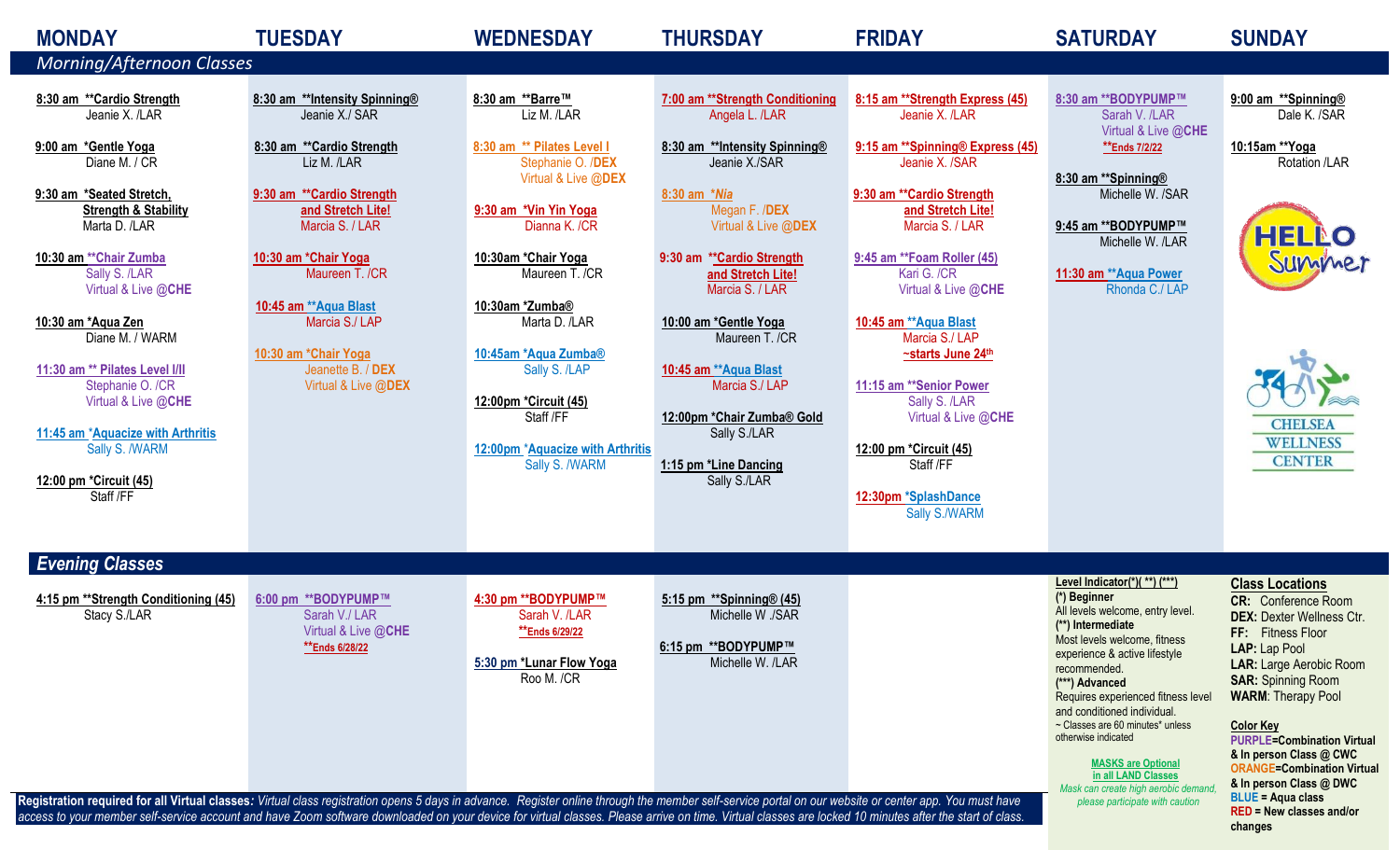| <b>MONDAY</b><br><b>Morning/Afternoon Classes</b>                                                                                                                                                                                                                                                                                                                                                                                                                                                   | <b>TUESDAY</b>                                                                                                                                                                                                                                                                                                               | <b>WEDNESDAY</b>                                                                                                                                                                                                                                                                                                                                                      | <b>THURSDAY</b>                                                                                                                                                                                                                                                                                                                                                                                                  | <b>FRIDAY</b>                                                                                                                                                                                                                                                                                                                                                                                                                                                             | <b>SATURDAY</b>                                                                                                                                                                                                                                                                                                                                                                                                                                                        | <b>SUNDAY</b>                                                                                                                                                                                                                                                                                                                                                                                                                                            |
|-----------------------------------------------------------------------------------------------------------------------------------------------------------------------------------------------------------------------------------------------------------------------------------------------------------------------------------------------------------------------------------------------------------------------------------------------------------------------------------------------------|------------------------------------------------------------------------------------------------------------------------------------------------------------------------------------------------------------------------------------------------------------------------------------------------------------------------------|-----------------------------------------------------------------------------------------------------------------------------------------------------------------------------------------------------------------------------------------------------------------------------------------------------------------------------------------------------------------------|------------------------------------------------------------------------------------------------------------------------------------------------------------------------------------------------------------------------------------------------------------------------------------------------------------------------------------------------------------------------------------------------------------------|---------------------------------------------------------------------------------------------------------------------------------------------------------------------------------------------------------------------------------------------------------------------------------------------------------------------------------------------------------------------------------------------------------------------------------------------------------------------------|------------------------------------------------------------------------------------------------------------------------------------------------------------------------------------------------------------------------------------------------------------------------------------------------------------------------------------------------------------------------------------------------------------------------------------------------------------------------|----------------------------------------------------------------------------------------------------------------------------------------------------------------------------------------------------------------------------------------------------------------------------------------------------------------------------------------------------------------------------------------------------------------------------------------------------------|
| 8:30 am ** Cardio Strength<br>Jeanie X. /LAR<br>9:00 am *Gentle Yoga<br>Diane M. / CR<br>9:30 am *Seated Stretch,<br><b>Strength &amp; Stability</b><br>Marta D. /LAR<br>10:30 am ** Chair Zumba<br>Sally S. /LAR<br>Virtual & Live @CHE<br>10:30 am *Aqua Zen<br>Diane M. / WARM<br>11:30 am ** Pilates Level I/II<br>Stephanie O. /CR<br>Virtual & Live @CHE<br>11:45 am *Aquacize with Arthritis<br>Sally S. /WARM<br>12:00 pm *Circuit (45)<br>Staff /FF                                        | 8:30 am **Intensity Spinning®<br>Jeanie X./ SAR<br>8:30 am ** Cardio Strength<br>Liz M. /LAR<br>9:30 am ** Cardio Strength<br>and Stretch Lite!<br>Marcia S. / LAR<br>10:30 am *Chair Yoga<br>Maureen T. /CR<br>10:45 am ** Aqua Blast<br>Marcia S./ LAP<br>10:30 am *Chair Yoga<br>Jeanette B. / DEX<br>Virtual & Live @DEX | 8:30 am **Barre™<br>Liz M. /LAR<br>8:30 am ** Pilates Level I<br>Stephanie O. /DEX<br>Virtual & Live @DEX<br>9:30 am *Vin Yin Yoga<br>Dianna K. /CR<br>10:30am *Chair Yoga<br>Maureen T. /CR<br>10:30am *Zumba®<br>Marta D. /LAR<br>10:45am *Aqua Zumba®<br>Sally S. /LAP<br>12:00pm *Circuit (45)<br>Staff /FF<br>12:00pm *Aquacize with Arthritis<br>Sally S. /WARM | 7:00 am ** Strength Conditioning<br>Angela L. /LAR<br>8:30 am **Intensity Spinning®<br>Jeanie X./SAR<br>8:30 am *Nia<br>Megan F. /DEX<br>Virtual & Live @DEX<br>9:30 am ** Cardio Strength<br>and Stretch Lite!<br>Marcia S. / LAR<br>10:00 am *Gentle Yoga<br>Maureen T. /CR<br>10:45 am ** Aqua Blast<br>Marcia S./ LAP<br>12:00pm *Chair Zumba® Gold<br>Sally S./LAR<br>1:15 pm *Line Dancing<br>Sally S./LAR | 8:15 am ** Strength Express (45)<br>Jeanie X. /LAR<br>9:15 am ** Spinning® Express (45)<br>Jeanie X. /SAR<br>9:30 am ** Cardio Strength<br>and Stretch Lite!<br>Marcia S. / LAR<br>9:45 am ** Foam Roller (45)<br>Kari G. /CR<br>Virtual & Live @CHE<br>10:45 am ** Aqua Blast<br>Marcia S./ LAP<br>~starts June 24th<br>11:15 am ** Senior Power<br>Sally S. /LAR<br>Virtual & Live @CHE<br>12:00 pm *Circuit (45)<br>Staff /FF<br>12:30pm *SplashDance<br>Sally S./WARM | 8:30 am ** BODYPUMP™<br>Sarah V. /LAR<br>Virtual & Live @CHE<br>**Ends 7/2/22<br>8:30 am ** Spinning®<br>Michelle W. /SAR<br>9:45 am ** BODYPUMP™<br>Michelle W. /LAR<br>11:30 am ** Aqua Power<br>Rhonda C./ LAP                                                                                                                                                                                                                                                      | 9:00 am ** Spinning®<br>Dale K. /SAR<br>10:15am ** Yoga<br>Rotation /LAR<br><b>HELLO</b><br>Summer<br><b>CHELSEA</b><br><b>WELLNESS</b><br><b>CENTER</b>                                                                                                                                                                                                                                                                                                 |
| <b>Evening Classes</b><br>4:15 pm ** Strength Conditioning (45)<br>Stacy S./LAR<br>Registration required for all Virtual classes: Virtual class registration opens 5 days in advance. Register online through the member self-service portal on our website or center app. You must have<br>access to your member self-service account and have Zoom software downloaded on your device for virtual classes. Please arrive on time. Virtual classes are locked 10 minutes after the start of class. | 6:00 pm **BODYPUMP™<br>Sarah V./ LAR<br>Virtual & Live @CHE<br>**Ends 6/28/22                                                                                                                                                                                                                                                | 4:30 pm **BODYPUMP™<br>Sarah V. /LAR<br>**Ends 6/29/22<br>5:30 pm *Lunar Flow Yoga<br>Roo M. /CR                                                                                                                                                                                                                                                                      | 5:15 pm ** Spinning $(45)$<br>Michelle W ./SAR<br>6:15 pm **BODYPUMP™<br>Michelle W. /LAR                                                                                                                                                                                                                                                                                                                        |                                                                                                                                                                                                                                                                                                                                                                                                                                                                           | Level Indicator(*)(**) (***)<br>(*) Beginner<br>All levels welcome, entry level.<br>(**) Intermediate<br>Most levels welcome, fitness<br>experience & active lifestyle<br>recommended.<br>(***) Advanced<br>Requires experienced fitness level<br>and conditioned individual.<br>~ Classes are 60 minutes* unless<br>otherwise indicated<br><b>MASKS</b> are Optional<br>in all LAND Classes<br>Mask can create high aerobic demand<br>please participate with caution | <b>Class Locations</b><br><b>CR:</b> Conference Room<br><b>DEX: Dexter Wellness Ctr.</b><br>FF: Fitness Floor<br>LAP: Lap Pool<br><b>LAR: Large Aerobic Room</b><br><b>SAR: Spinning Room</b><br><b>WARM: Therapy Pool</b><br><b>Color Key</b><br><b>PURPLE=Combination Virtual</b><br>& In person Class @ CWC<br><b>ORANGE=Combination Virtual</b><br>& In person Class @ DWC<br><b>BLUE = Aqua class</b><br><b>RED = New classes and/or</b><br>changes |